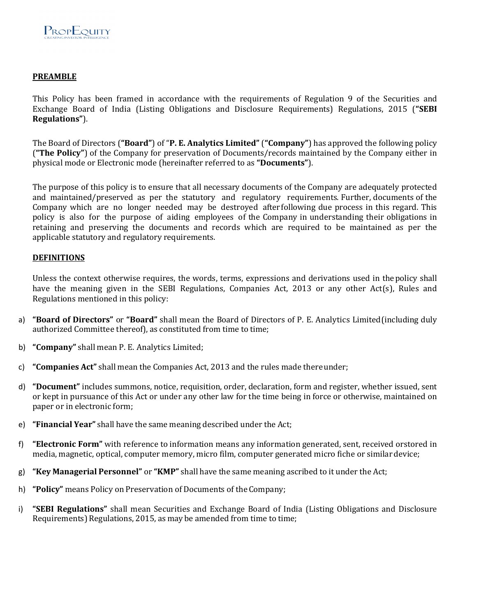## **PREAMBLE**

This Policy has been framed in accordance with the requirements of Regulation 9 of the Securities and Exchange Board of India (Listing Obligations and Disclosure Requirements) Regulations, 2015 (**"SEBI Regulations"**).

The Board of Directors (**"Board"**) of "**P. E. Analytics Limited"** (**"Company"**) has approved the following policy (**"The Policy"**) of the Company for preservation of Documents/records maintained by the Company either in physical mode or Electronic mode (hereinafter referred to as **"Documents"**).

The purpose of this policy is to ensure that all necessary documents of the Company are adequately protected and maintained/preserved as per the statutory and regulatory requirements. Further, documents of the Company which are no longer needed may be destroyed after following due process in this regard. This policy is also for the purpose of aiding employees of the Company in understanding their obligations in retaining and preserving the documents and records which are required to be maintained as per the applicable statutory and regulatory requirements.

#### **DEFINITIONS**

Unless the context otherwise requires, the words, terms, expressions and derivations used in the policy shall have the meaning given in the SEBI Regulations, Companies Act, 2013 or any other Act(s), Rules and Regulations mentioned in this policy:

- a) **"Board of Directors"** or **"Board"** shall mean the Board of Directors of P. E. Analytics Limited (including duly authorized Committee thereof), as constituted from time to time;
- b) **"Company"** shall mean P. E. Analytics Limited;
- c) **"Companies Act"** shall mean the Companies Act, 2013 and the rules made there under;
- d) **"Document"** includes summons, notice, requisition, order, declaration, form and register, whether issued, sent or kept in pursuance of this Act or under any other law for the time being in force or otherwise, maintained on paper or in electronic form;
- e) **"Financial Year"** shall have the same meaning described under the Act;
- f) **"Electronic Form"** with reference to information means any information generated, sent, received or stored in media, magnetic, optical, computer memory, micro film, computer generated micro fiche or similar device;
- g) **"Key Managerial Personnel"** or **"KMP"** shall have the same meaning ascribed to it under the Act;
- h) **"Policy"** means Policy on Preservation of Documents of the Company;
- i) **"SEBI Regulations"** shall mean Securities and Exchange Board of India (Listing Obligations and Disclosure Requirements) Regulations, 2015, as may be amended from time to time;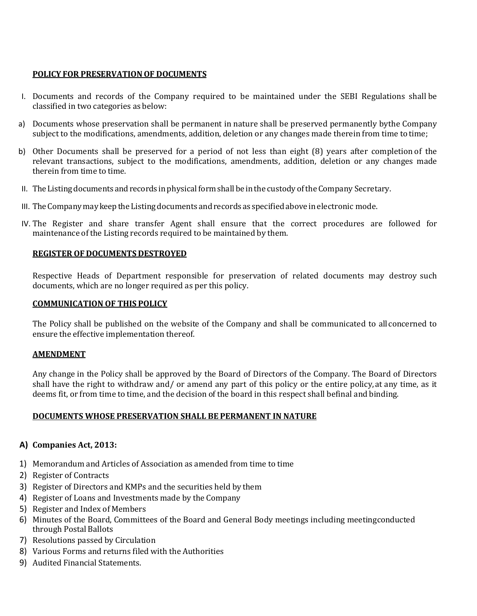# **POLICY FOR PRESERVATION OF DOCUMENTS**

- I. Documents and records of the Company required to be maintained under the SEBI Regulations shall be classified in two categories as below:
- a) Documents whose preservation shall be permanent in nature shall be preserved permanently by the Company subject to the modifications, amendments, addition, deletion or any changes made therein from time to time;
- b) Other Documents shall be preserved for a period of not less than eight (8) years after completion of the relevant transactions, subject to the modifications, amendments, addition, deletion or any changes made therein from time to time.
- II. The Listing documents and records in physical form shall be in the custody of the Company Secretary.
- III. The Company may keep the Listing documents and records as specified above in electronic mode.
- IV. The Register and share transfer Agent shall ensure that the correct procedures are followed for maintenance of the Listing records required to be maintained by them.

## **REGISTER OF DOCUMENTS DESTROYED**

Respective Heads of Department responsible for preservation of related documents may destroy such documents, which are no longer required as per this policy.

## **COMMUNICATION OF THIS POLICY**

The Policy shall be published on the website of the Company and shall be communicated to all concerned to ensure the effective implementation thereof.

#### **AMENDMENT**

Any change in the Policy shall be approved by the Board of Directors of the Company. The Board of Directors shall have the right to withdraw and/ or amend any part of this policy or the entire policy, at any time, as it deems fit, or from time to time, and the decision of the board in this respect shall befinal and binding.

# **DOCUMENTS WHOSE PRESERVATION SHALL BE PERMANENT IN NATURE**

# **A) Companies Act, 2013:**

- 1) Memorandum and Articles of Association as amended from time to time
- 2) Register of Contracts
- 3) Register of Directors and KMPs and the securities held by them
- 4) Register of Loans and Investments made by the Company
- 5) Register and Index of Members
- 6) Minutes of the Board, Committees of the Board and General Body meetings including meeting conducted through Postal Ballots
- 7) Resolutions passed by Circulation
- 8) Various Forms and returns filed with the Authorities
- 9) Audited Financial Statements.